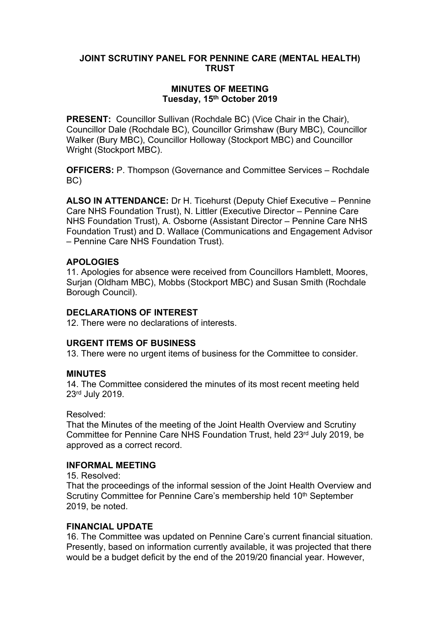### **JOINT SCRUTINY PANEL FOR PENNINE CARE (MENTAL HEALTH) TRUST**

### **MINUTES OF MEETING Tuesday, 15th October 2019**

**PRESENT:** Councillor Sullivan (Rochdale BC) (Vice Chair in the Chair). Councillor Dale (Rochdale BC), Councillor Grimshaw (Bury MBC), Councillor Walker (Bury MBC), Councillor Holloway (Stockport MBC) and Councillor Wright (Stockport MBC).

**OFFICERS:** P. Thompson (Governance and Committee Services – Rochdale BC)

**ALSO IN ATTENDANCE:** Dr H. Ticehurst (Deputy Chief Executive – Pennine Care NHS Foundation Trust), N. Littler (Executive Director – Pennine Care NHS Foundation Trust), A. Osborne (Assistant Director – Pennine Care NHS Foundation Trust) and D. Wallace (Communications and Engagement Advisor – Pennine Care NHS Foundation Trust).

### **APOLOGIES**

11. Apologies for absence were received from Councillors Hamblett, Moores, Surjan (Oldham MBC), Mobbs (Stockport MBC) and Susan Smith (Rochdale Borough Council).

## **DECLARATIONS OF INTEREST**

12. There were no declarations of interests.

### **URGENT ITEMS OF BUSINESS**

13. There were no urgent items of business for the Committee to consider.

### **MINUTES**

14. The Committee considered the minutes of its most recent meeting held 23rd July 2019.

Resolved:

That the Minutes of the meeting of the Joint Health Overview and Scrutiny Committee for Pennine Care NHS Foundation Trust, held 23rd July 2019, be approved as a correct record.

### **INFORMAL MEETING**

15. Resolved:

That the proceedings of the informal session of the Joint Health Overview and Scrutiny Committee for Pennine Care's membership held 10<sup>th</sup> September 2019, be noted.

### **FINANCIAL UPDATE**

16. The Committee was updated on Pennine Care's current financial situation. Presently, based on information currently available, it was projected that there would be a budget deficit by the end of the 2019/20 financial year. However,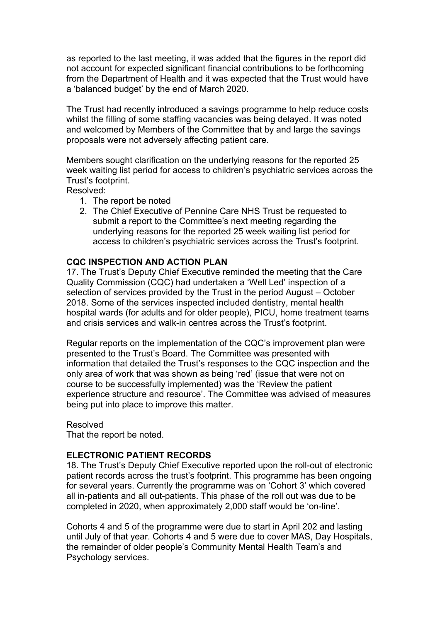as reported to the last meeting, it was added that the figures in the report did not account for expected significant financial contributions to be forthcoming from the Department of Health and it was expected that the Trust would have a 'balanced budget' by the end of March 2020.

The Trust had recently introduced a savings programme to help reduce costs whilst the filling of some staffing vacancies was being delayed. It was noted and welcomed by Members of the Committee that by and large the savings proposals were not adversely affecting patient care.

Members sought clarification on the underlying reasons for the reported 25 week waiting list period for access to children's psychiatric services across the Trust's footprint.

Resolved:

- 1. The report be noted
- 2. The Chief Executive of Pennine Care NHS Trust be requested to submit a report to the Committee's next meeting regarding the underlying reasons for the reported 25 week waiting list period for access to children's psychiatric services across the Trust's footprint.

#### **CQC INSPECTION AND ACTION PLAN**

17. The Trust's Deputy Chief Executive reminded the meeting that the Care Quality Commission (CQC) had undertaken a 'Well Led' inspection of a selection of services provided by the Trust in the period August – October 2018. Some of the services inspected included dentistry, mental health hospital wards (for adults and for older people), PICU, home treatment teams and crisis services and walk-in centres across the Trust's footprint.

Regular reports on the implementation of the CQC's improvement plan were presented to the Trust's Board. The Committee was presented with information that detailed the Trust's responses to the CQC inspection and the only area of work that was shown as being 'red' (issue that were not on course to be successfully implemented) was the 'Review the patient experience structure and resource'. The Committee was advised of measures being put into place to improve this matter.

#### Resolved

That the report be noted.

### **ELECTRONIC PATIENT RECORDS**

18. The Trust's Deputy Chief Executive reported upon the roll-out of electronic patient records across the trust's footprint. This programme has been ongoing for several years. Currently the programme was on 'Cohort 3' which covered all in-patients and all out-patients. This phase of the roll out was due to be completed in 2020, when approximately 2,000 staff would be 'on-line'.

Cohorts 4 and 5 of the programme were due to start in April 202 and lasting until July of that year. Cohorts 4 and 5 were due to cover MAS, Day Hospitals, the remainder of older people's Community Mental Health Team's and Psychology services.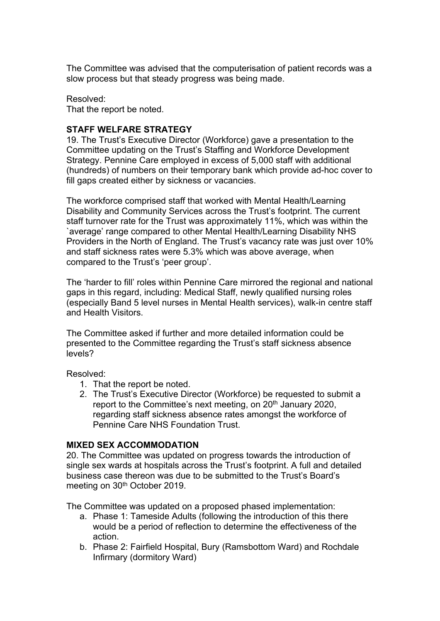The Committee was advised that the computerisation of patient records was a slow process but that steady progress was being made.

Resolved: That the report be noted.

## **STAFF WELFARE STRATEGY**

19. The Trust's Executive Director (Workforce) gave a presentation to the Committee updating on the Trust's Staffing and Workforce Development Strategy. Pennine Care employed in excess of 5,000 staff with additional (hundreds) of numbers on their temporary bank which provide ad-hoc cover to fill gaps created either by sickness or vacancies.

The workforce comprised staff that worked with Mental Health/Learning Disability and Community Services across the Trust's footprint. The current staff turnover rate for the Trust was approximately 11%, which was within the `average' range compared to other Mental Health/Learning Disability NHS Providers in the North of England. The Trust's vacancy rate was just over 10% and staff sickness rates were 5.3% which was above average, when compared to the Trust's 'peer group'.

The 'harder to fill' roles within Pennine Care mirrored the regional and national gaps in this regard, including: Medical Staff, newly qualified nursing roles (especially Band 5 level nurses in Mental Health services), walk-in centre staff and Health Visitors.

The Committee asked if further and more detailed information could be presented to the Committee regarding the Trust's staff sickness absence levels?

Resolved:

- 1. That the report be noted.
- 2. The Trust's Executive Director (Workforce) be requested to submit a report to the Committee's next meeting, on 20<sup>th</sup> January 2020, regarding staff sickness absence rates amongst the workforce of Pennine Care NHS Foundation Trust.

### **MIXED SEX ACCOMMODATION**

20. The Committee was updated on progress towards the introduction of single sex wards at hospitals across the Trust's footprint. A full and detailed business case thereon was due to be submitted to the Trust's Board's meeting on 30<sup>th</sup> October 2019.

The Committee was updated on a proposed phased implementation:

- a. Phase 1: Tameside Adults (following the introduction of this there would be a period of reflection to determine the effectiveness of the action.
- b. Phase 2: Fairfield Hospital, Bury (Ramsbottom Ward) and Rochdale Infirmary (dormitory Ward)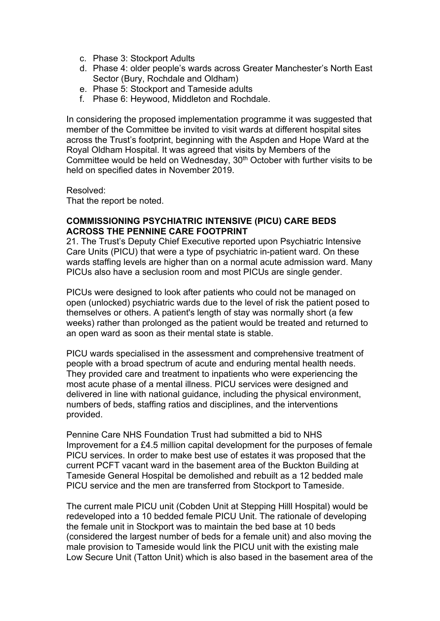- c. Phase 3: Stockport Adults
- d. Phase 4: older people's wards across Greater Manchester's North East Sector (Bury, Rochdale and Oldham)
- e. Phase 5: Stockport and Tameside adults
- f. Phase 6: Heywood, Middleton and Rochdale.

In considering the proposed implementation programme it was suggested that member of the Committee be invited to visit wards at different hospital sites across the Trust's footprint, beginning with the Aspden and Hope Ward at the Royal Oldham Hospital. It was agreed that visits by Members of the Committee would be held on Wednesday, 30<sup>th</sup> October with further visits to be held on specified dates in November 2019.

Resolved:

That the report be noted.

### **COMMISSIONING PSYCHIATRIC INTENSIVE (PICU) CARE BEDS ACROSS THE PENNINE CARE FOOTPRINT**

21. The Trust's Deputy Chief Executive reported upon Psychiatric Intensive Care Units (PICU) that were a type of psychiatric in-patient ward. On these wards staffing levels are higher than on a normal acute admission ward. Many PICUs also have a seclusion room and most PICUs are single gender.

PICUs were designed to look after patients who could not be managed on open (unlocked) psychiatric wards due to the level of risk the patient posed to themselves or others. A patient's length of stay was normally short (a few weeks) rather than prolonged as the patient would be treated and returned to an open ward as soon as their mental state is stable.

PICU wards specialised in the assessment and comprehensive treatment of people with a broad spectrum of acute and enduring mental health needs. They provided care and treatment to inpatients who were experiencing the most acute phase of a mental illness. PICU services were designed and delivered in line with national guidance, including the physical environment, numbers of beds, staffing ratios and disciplines, and the interventions provided.

Pennine Care NHS Foundation Trust had submitted a bid to NHS Improvement for a £4.5 million capital development for the purposes of female PICU services. In order to make best use of estates it was proposed that the current PCFT vacant ward in the basement area of the Buckton Building at Tameside General Hospital be demolished and rebuilt as a 12 bedded male PICU service and the men are transferred from Stockport to Tameside.

The current male PICU unit (Cobden Unit at Stepping Hilll Hospital) would be redeveloped into a 10 bedded female PICU Unit. The rationale of developing the female unit in Stockport was to maintain the bed base at 10 beds (considered the largest number of beds for a female unit) and also moving the male provision to Tameside would link the PICU unit with the existing male Low Secure Unit (Tatton Unit) which is also based in the basement area of the